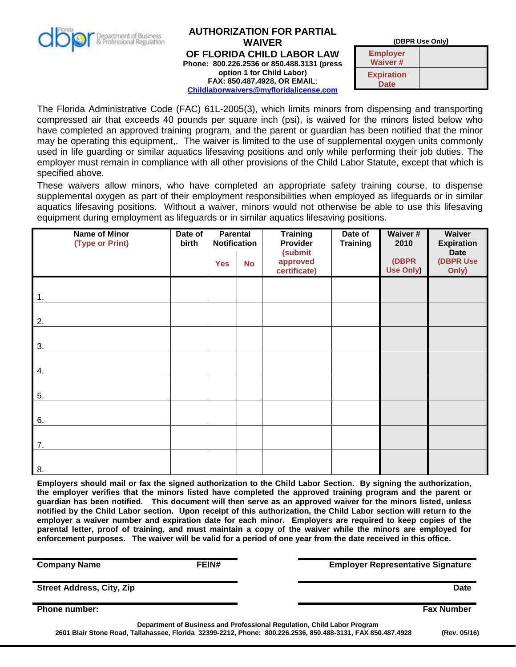

## **AUTHORIZATION FOR PARTIAL WAIVER OF FLORIDA CHILD LABOR LAW Phone: 800.226.2536 or 850.488.3131 (press option 1 for Child Labor) FAX: 850.487.4928, OR EMAIL**: **[Childlaborwaivers@myfloridalicense.com](mailto:Childlaborwaivers@myfloridalicense.com)**

**(DBPR Use Only)**

**Employer Waiver # Expiration Date**

The Florida Administrative Code (FAC) 61L-2005(3), which limits minors from dispensing and transporting compressed air that exceeds 40 pounds per square inch (psi), is waived for the minors listed below who have completed an approved training program, and the parent or guardian has been notified that the minor may be operating this equipment,. The waiver is limited to the use of supplemental oxygen units commonly used in life guarding or similar aquatics lifesaving positions and only while performing their job duties. The employer must remain in compliance with all other provisions of the Child Labor Statute, except that which is specified above.

These waivers allow minors, who have completed an appropriate safety training course, to dispense supplemental oxygen as part of their employment responsibilities when employed as lifeguards or in similar aquatics lifesaving positions. Without a waiver, minors would not otherwise be able to use this lifesaving equipment during employment as lifeguards or in similar aquatics lifesaving positions.

| Name of Minor<br>(Type or Print) | Date of<br>birth | <b>Parental</b><br><b>Notification</b> |           | <b>Training</b><br>Provider<br>(submit | Date of<br><b>Training</b> | Waiver #<br>2010   | Waiver<br><b>Expiration</b><br><b>Date</b> |
|----------------------------------|------------------|----------------------------------------|-----------|----------------------------------------|----------------------------|--------------------|--------------------------------------------|
|                                  |                  | <b>Yes</b>                             | <b>No</b> | approved<br>certificate)               |                            | (DBPR<br>Use Only) | (DBPR Use<br>Only)                         |
| $\mathbf{1}$ .                   |                  |                                        |           |                                        |                            |                    |                                            |
| 2.                               |                  |                                        |           |                                        |                            |                    |                                            |
|                                  |                  |                                        |           |                                        |                            |                    |                                            |
| 3.                               |                  |                                        |           |                                        |                            |                    |                                            |
| 4.                               |                  |                                        |           |                                        |                            |                    |                                            |
| 5.                               |                  |                                        |           |                                        |                            |                    |                                            |
| 6.                               |                  |                                        |           |                                        |                            |                    |                                            |
| 7.                               |                  |                                        |           |                                        |                            |                    |                                            |
| 8.                               |                  |                                        |           |                                        |                            |                    |                                            |

**Employers should mail or fax the signed authorization to the Child Labor Section. By signing the authorization, the employer verifies that the minors listed have completed the approved training program and the parent or guardian has been notified. This document will then serve as an approved waiver for the minors listed, unless notified by the Child Labor section. Upon receipt of this authorization, the Child Labor section will return to the employer a waiver number and expiration date for each minor. Employers are required to keep copies of the parental letter, proof of training, and must maintain a copy of the waiver while the minors are employed for enforcement purposes. The waiver will be valid for a period of one year from the date received in this office.**

**Department of Business and Professional Regulation, Child Labor Program 2601 Blair Stone Road, Tallahassee, Florida 32399-2212, Phone: 800.226.2536, 850.488-3131, FAX 850.487.4928 (Rev. 05/16) Company Name EXALLE REINALLE EXAMPLE EMPLOYER Representative Signature Company Name Street Address, City, Zip Date Phone number: Fax Number**